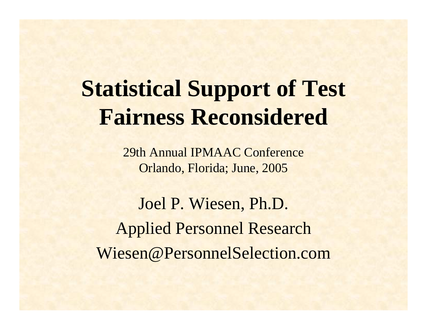## **Statistical Support of Test Fairness Reconsidered**

29th Annual IPMAAC Conference Orlando, Florida; June, 2005

Joel P. Wiesen, Ph.D. Applied Personnel Research Wiesen@PersonnelSelection.com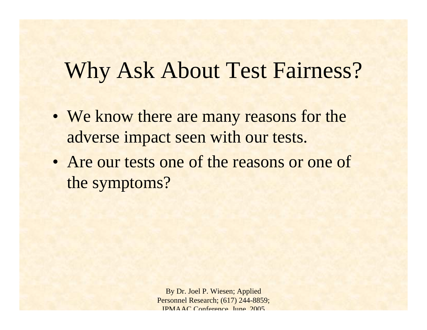### Why Ask About Test Fairness?

- We know there are many reasons for the adverse impact seen with our tests.
- Are our tests one of the reasons or one of the symptoms?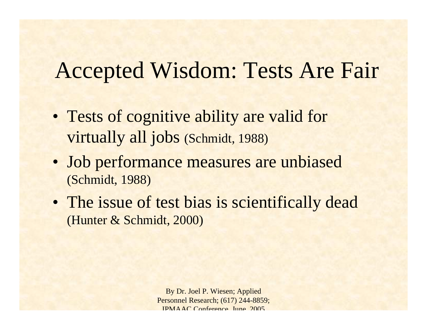### Accepted Wisdom: Tests Are Fair

- Tests of cognitive ability are valid for virtually all jobs (Schmidt, 1988)
- Job performance measures are unbiased (Schmidt, 1988)
- The issue of test bias is scientifically dead (Hunter & Schmidt, 2000)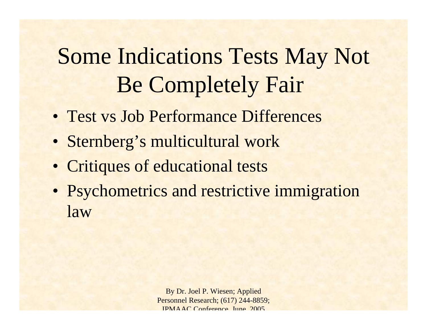# Some Indications Tests May Not Be Completely Fair

- Test vs Job Performance Differences
- Sternberg's multicultural work
- Critiques of educational tests
- Psychometrics and restrictive immigration law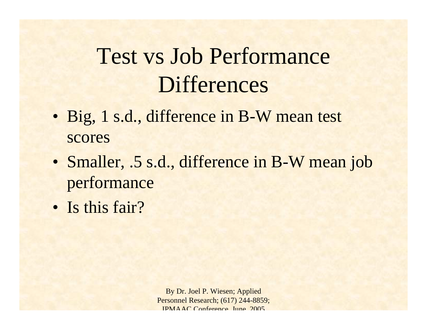## Test vs Job Performance **Differences**

- Big, 1 s.d., difference in B-W mean test scores
- Smaller, .5 s.d., difference in B-W mean job performance
- Is this fair?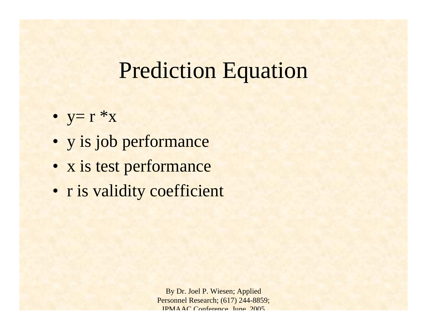#### Prediction Equation

- $y = r * x$
- y is job performance
- x is test performance
- r is validity coefficient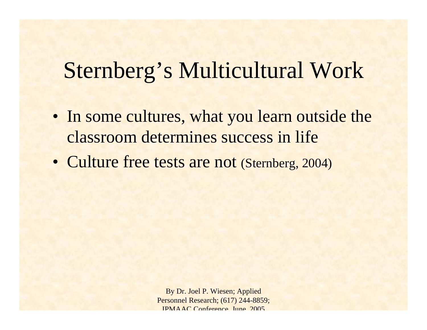#### Sternberg's Multicultural Work

- In some cultures, what you learn outside the classroom determines success in life
- Culture free tests are not (Sternberg, 2004)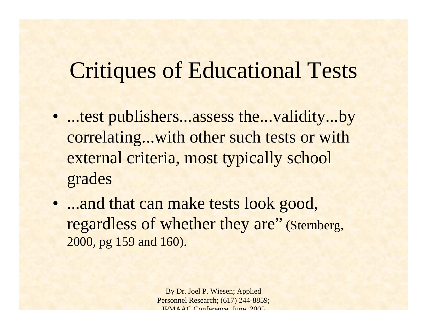### Critiques of Educational Tests

- ...test publishers...assess the...validity...by correlating...with other such tests or with external criteria, most typically school grades
- ...and that can make tests look good, regardless of whether they are" (Sternberg, 2000, pg 159 and 160).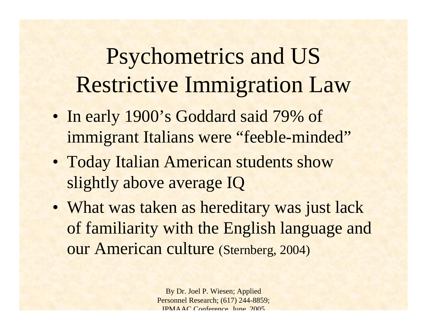# Psychometrics and US Restrictive Immigration Law

- In early 1900's Goddard said 79% of immigrant Italians were "feeble-minded"
- Today Italian American students show slightly above average IQ
- What was taken as hereditary was just lack of familiarity with the English language and our American culture (Sternberg, 2004)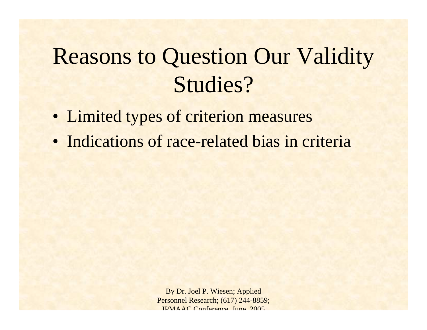## Reasons to Question Our Validity Studies?

- Limited types of criterion measures
- Indications of race-related bias in criteria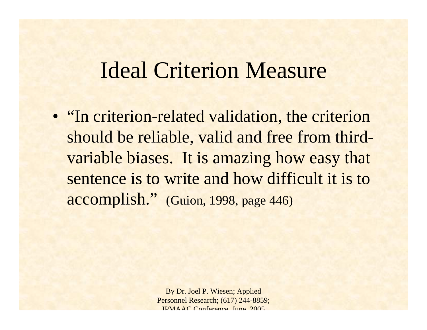#### Ideal Criterion Measure

• "In criterion-related validation, the criterion should be reliable, valid and free from thirdvariable biases. It is amazing how easy that sentence is to write and how difficult it is to accomplish." (Guion, 1998, page 446)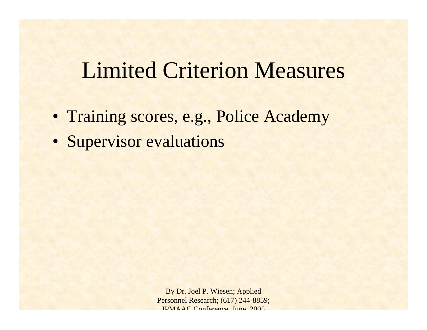## Limited Criterion Measures

- Training scores, e.g., Police Academy
- Supervisor evaluations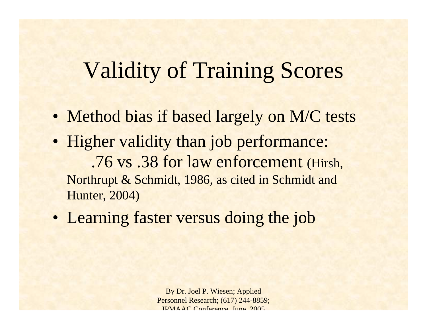## Validity of Training Scores

- Method bias if based largely on M/C tests
- Higher validity than job performance: .76 vs .38 for law enforcement (Hirsh, Northrupt & Schmidt, 1986, as cited in Schmidt and Hunter, 2004)
- Learning faster versus doing the job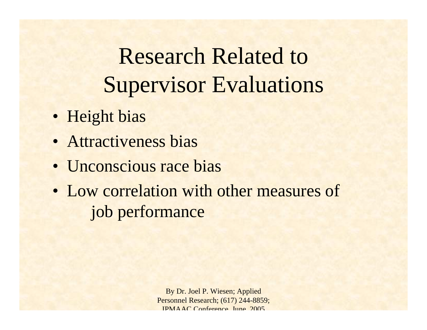Research Related to Supervisor Evaluations

- Height bias
- Attractiveness bias
- Unconscious race bias
- Low correlation with other measures of job performance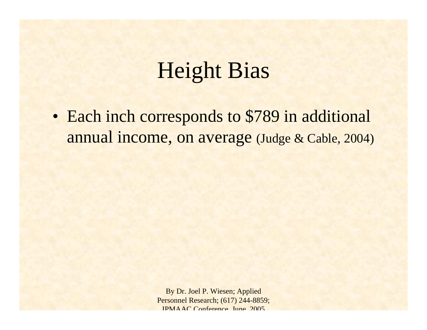## Height Bias

 $\bullet$  Each inch corresponds to \$789 in additional annual income, on average (Judge & Cable, 2004)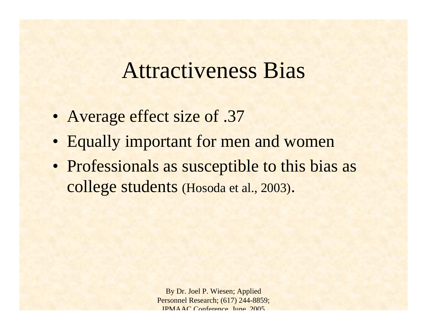#### Attractiveness Bias

- Average effect size of .37
- Equally important for men and women
- Professionals as susceptible to this bias as college students (Hosoda et al., 2003).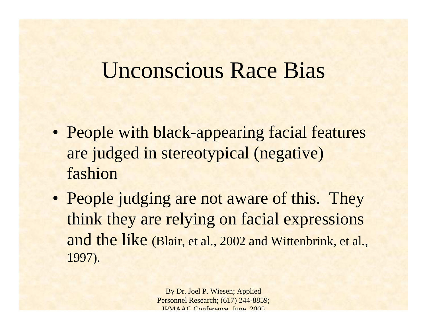#### Unconscious Race Bias

- People with black-appearing facial features are judged in stereotypical (negative) fashion
- People judging are not aware of this. They think they are relying on facial expressions and the like (Blair, et al., 2002 and Wittenbrink, et al., 1997).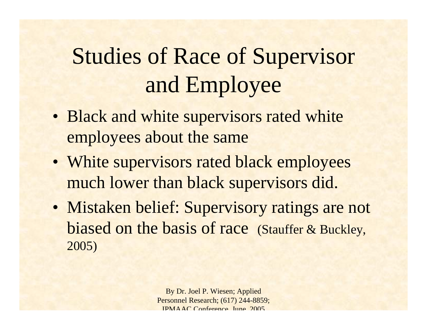# Studies of Race of Supervisor and Employee

- Black and white supervisors rated white employees about the same
- White supervisors rated black employees much lower than black supervisors did.
- Mistaken belief: Supervisory ratings are not biased on the basis of race (Stauffer & Buckley, 2005)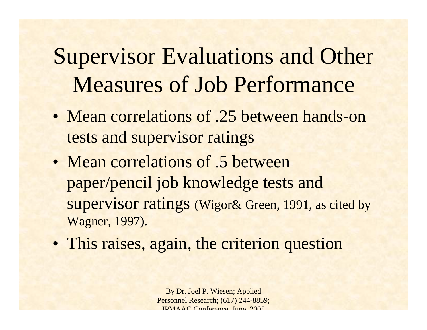Supervisor Evaluations and Other Measures of Job Performance

- Mean correlations of .25 between hands-on tests and supervisor ratings
- Mean correlations of .5 between paper/pencil job knowledge tests and supervisor ratings (Wigor& Green, 1991, as cited by Wagner, 1997).
- This raises, again, the criterion question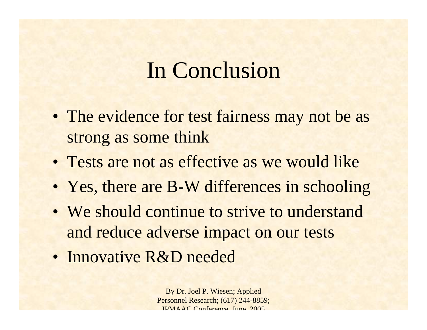#### In Conclusion

- The evidence for test fairness may not be as strong as some think
- Tests are not as effective as we would like
- Yes, there are B-W differences in schooling
- We should continue to strive to understand and reduce adverse impact on our tests
- Innovative R&D needed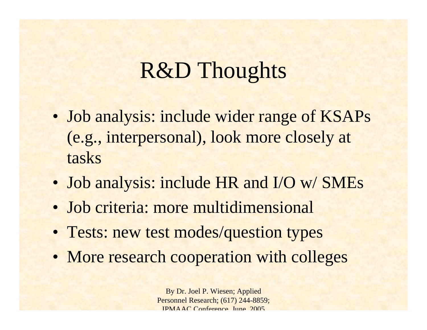## R&D Thoughts

- Job analysis: include wider range of KSAPs (e.g., interpersonal), look more closely at tasks
- Job analysis: include HR and I/O w/ SMEs
- Job criteria: more multidimensional
- Tests: new test modes/question types
- More research cooperation with colleges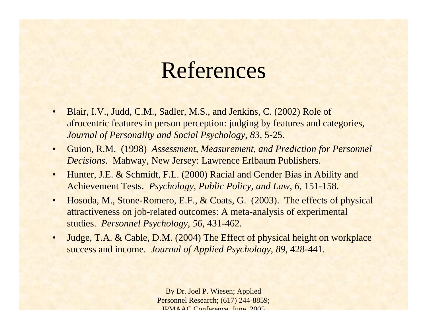#### References

- • Blair, I.V., Judd, C.M., Sadler, M.S., and Jenkins, C. (2002) Role of afrocentric features in person perception: judging by features and categories, *Journal of Personality and Social Psychology, 83*, 5-25.
- • Guion, R.M. (1998) *Assessment, Measurement, and Prediction for Personnel Decisions*. Mahway, New Jersey: Lawrence Erlbaum Publishers.
- • Hunter, J.E. & Schmidt, F.L. (2000) Racial and Gender Bias in Ability and Achievement Tests. *Psychology, Public Policy, and Law, 6*, 151-158.
- • Hosoda, M., Stone-Romero, E.F., & Coats, G. (2003). The effects of physical attractiveness on job-related outcomes: A meta-analysis of experimental studies. *Personnel Psychology, 56*, 431-462.
- • Judge, T.A. & Cable, D.M. (2004) The Effect of physical height on workplace success and income. *Journal of Applied Psychology, 89*, 428-441.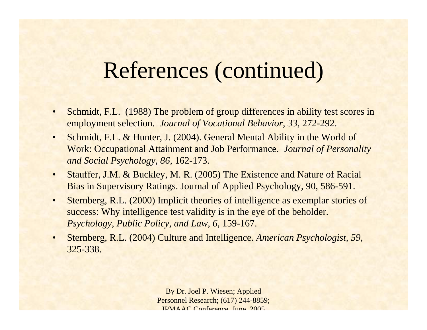#### References (continued)

- • Schmidt, F.L. (1988) The problem of group differences in ability test scores in employment selection. *Journal of Vocational Behavior, 33,* 272-292.
- • Schmidt, F.L. & Hunter, J. (2004). General Mental Ability in the World of Work: Occupational Attainment and Job Performance. *Journal of Personality and Social Psychology, 86,* 162-173.
- • Stauffer, J.M. & Buckley, M. R. (2005) The Existence and Nature of Racial Bias in Supervisory Ratings. Journal of Applied Psychology, 90, 586-591.
- • Sternberg, R.L. (2000) Implicit theories of intelligence as exemplar stories of success: Why intelligence test validity is in the eye of the beholder. *Psychology, Public Policy, and Law, 6,* 159-167.
- • Sternberg, R.L. (2004) Culture and Intelligence. *American Psychologist, 59*, 325-338.